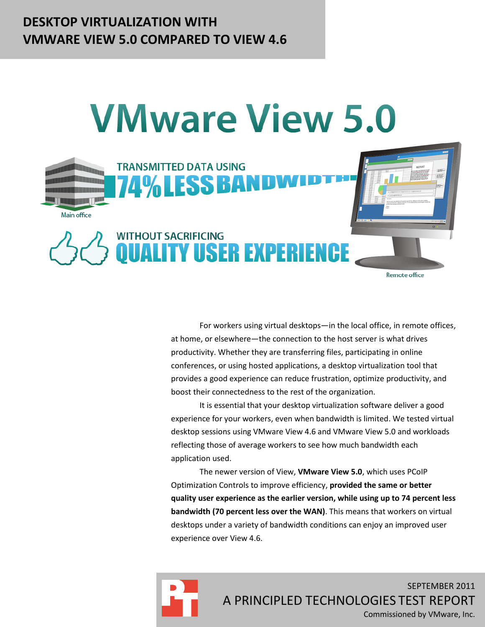# **DESKTOP VIRTUALIZATION WITH VMWARE VIEW 5.0 COMPARED TO VIEW 4.6**



For workers using virtual desktops—in the local office, in remote offices, at home, or elsewhere—the connection to the host server is what drives productivity. Whether they are transferring files, participating in online conferences, or using hosted applications, a desktop virtualization tool that provides a good experience can reduce frustration, optimize productivity, and boost their connectedness to the rest of the organization.

It is essential that your desktop virtualization software deliver a good experience for your workers, even when bandwidth is limited. We tested virtual desktop sessions using VMware View 4.6 and VMware View 5.0 and workloads reflecting those of average workers to see how much bandwidth each application used.

The newer version of View, **VMware View 5.0**, which uses PCoIP Optimization Controls to improve efficiency, **provided the same or better quality user experience as the earlier version, while using up to 74 percent less bandwidth (70 percent less over the WAN)**. This means that workers on virtual desktops under a variety of bandwidth conditions can enjoy an improved user experience over View 4.6.



SEPTEMBER 2011 A PRINCIPLED TECHNOLOGIES TEST REPORT Commissioned by VMware, Inc.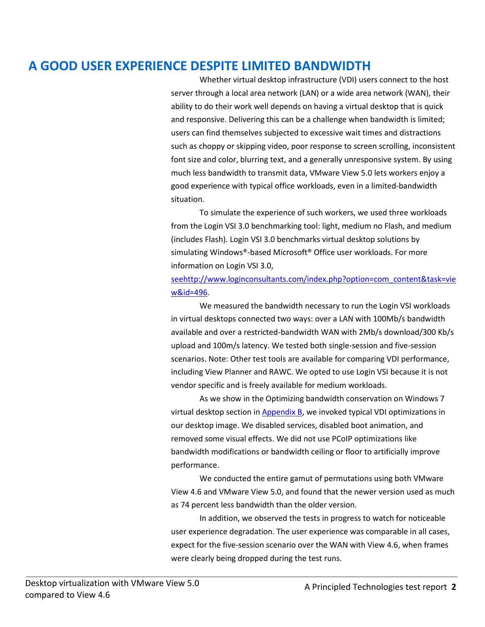# **A GOOD USER EXPERIENCE DESPITE LIMITED BANDWIDTH**

Whether virtual desktop infrastructure (VDI) users connect to the host server through a local area network (LAN) or a wide area network (WAN), their ability to do their work well depends on having a virtual desktop that is quick and responsive. Delivering this can be a challenge when bandwidth is limited; users can find themselves subjected to excessive wait times and distractions such as choppy or skipping video, poor response to screen scrolling, inconsistent font size and color, blurring text, and a generally unresponsive system. By using much less bandwidth to transmit data, VMware View 5.0 lets workers enjoy a good experience with typical office workloads, even in a limited-bandwidth situation.

To simulate the experience of such workers, we used three workloads from the Login VSI 3.0 benchmarking tool: light, medium no Flash, and medium (includes Flash). Login VSI 3.0 benchmarks virtual desktop solutions by simulating Windows®-based Microsoft® Office user workloads. For more information on Login VSI 3.0,

[seehttp://www.loginconsultants.com/index.php?option=com\\_content&task=vie](http://www.loginconsultants.com/index.php?option=com_content&task=view&id=496) [w&id=496.](http://www.loginconsultants.com/index.php?option=com_content&task=view&id=496)

We measured the bandwidth necessary to run the Login VSI workloads in virtual desktops connected two ways: over a LAN with 100Mb/s bandwidth available and over a restricted-bandwidth WAN with 2Mb/s download/300 Kb/s upload and 100m/s latency. We tested both single-session and five-session scenarios. Note: Other test tools are available for comparing VDI performance, including View Planner and RAWC. We opted to use Login VSI because it is not vendor specific and is freely available for medium workloads.

As we show in the Optimizing bandwidth conservation on Windows 7 virtual desktop section in  $\Delta$ ppendix  $B$ , we invoked typical VDI optimizations in our desktop image. We disabled services, disabled boot animation, and removed some visual effects. We did not use PCoIP optimizations like bandwidth modifications or bandwidth ceiling or floor to artificially improve performance.

We conducted the entire gamut of permutations using both VMware View 4.6 and VMware View 5.0, and found that the newer version used as much as 74 percent less bandwidth than the older version.

In addition, we observed the tests in progress to watch for noticeable user experience degradation. The user experience was comparable in all cases, expect for the five-session scenario over the WAN with View 4.6, when frames were clearly being dropped during the test runs.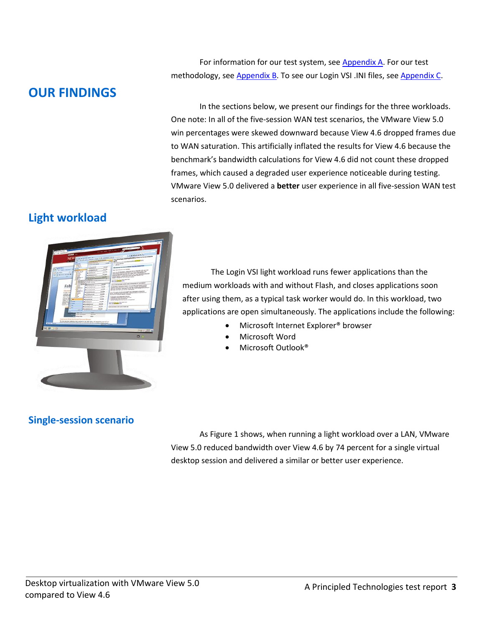For information for our test system, see **Appendix A**. For our test methodology, se[e Appendix B.](#page-17-0) To see our Login VSI .INI files, see [Appendix C.](#page-33-0)

# **OUR FINDINGS**

In the sections below, we present our findings for the three workloads. One note: In all of the five-session WAN test scenarios, the VMware View 5.0 win percentages were skewed downward because View 4.6 dropped frames due to WAN saturation. This artificially inflated the results for View 4.6 because the benchmark's bandwidth calculations for View 4.6 did not count these dropped frames, which caused a degraded user experience noticeable during testing. VMware View 5.0 delivered a **better** user experience in all five-session WAN test scenarios.

# **Light workload**



The Login VSI light workload runs fewer applications than the medium workloads with and without Flash, and closes applications soon after using them, as a typical task worker would do. In this workload, two applications are open simultaneously. The applications include the following:

- Microsoft Internet Explorer® browser
- Microsoft Word
- Microsoft Outlook®

# **Single-session scenario**

As Figure 1 shows, when running a light workload over a LAN, VMware View 5.0 reduced bandwidth over View 4.6 by 74 percent for a single virtual desktop session and delivered a similar or better user experience.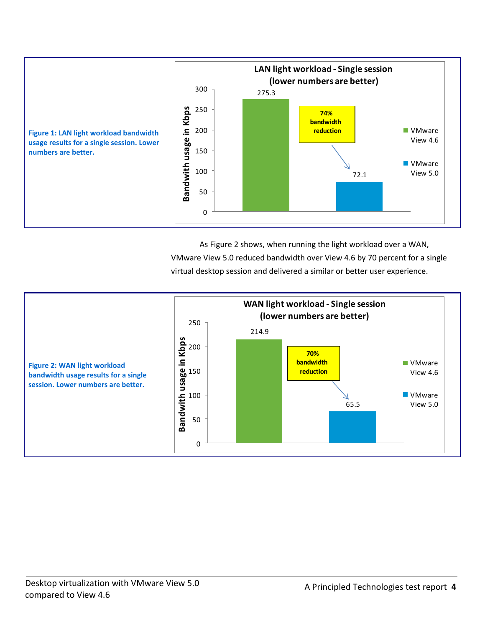

As Figure 2 shows, when running the light workload over a WAN, VMware View 5.0 reduced bandwidth over View 4.6 by 70 percent for a single virtual desktop session and delivered a similar or better user experience.

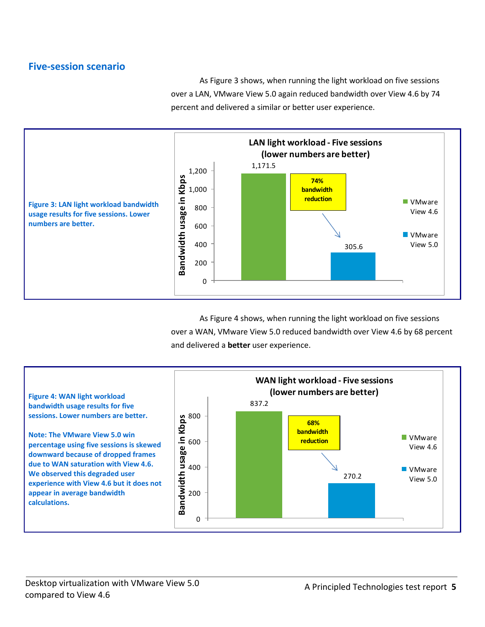### **Five-session scenario**

As Figure 3 shows, when running the light workload on five sessions over a LAN, VMware View 5.0 again reduced bandwidth over View 4.6 by 74 percent and delivered a similar or better user experience.



As Figure 4 shows, when running the light workload on five sessions over a WAN, VMware View 5.0 reduced bandwidth over View 4.6 by 68 percent and delivered a **better** user experience.

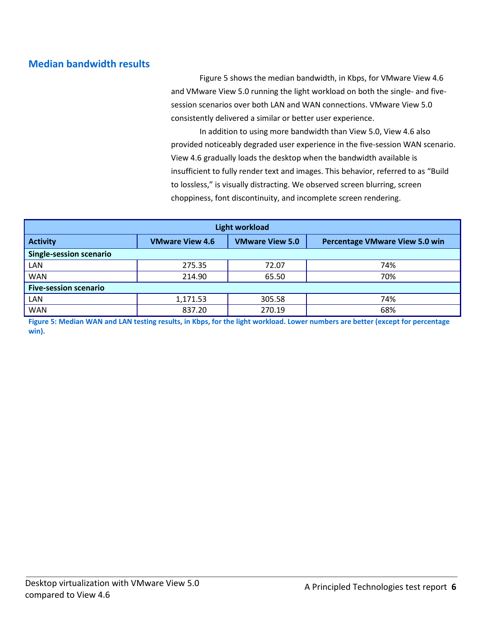# **Median bandwidth results**

Figure 5 shows the median bandwidth, in Kbps, for VMware View 4.6 and VMware View 5.0 running the light workload on both the single- and fivesession scenarios over both LAN and WAN connections. VMware View 5.0 consistently delivered a similar or better user experience.

In addition to using more bandwidth than View 5.0, View 4.6 also provided noticeably degraded user experience in the five-session WAN scenario. View 4.6 gradually loads the desktop when the bandwidth available is insufficient to fully render text and images. This behavior, referred to as "Build to lossless," is visually distracting. We observed screen blurring, screen choppiness, font discontinuity, and incomplete screen rendering.

| <b>Light workload</b>          |                        |                        |                                       |
|--------------------------------|------------------------|------------------------|---------------------------------------|
| <b>Activity</b>                | <b>VMware View 4.6</b> | <b>VMware View 5.0</b> | <b>Percentage VMware View 5.0 win</b> |
| <b>Single-session scenario</b> |                        |                        |                                       |
| LAN                            | 275.35                 | 72.07                  | 74%                                   |
| <b>WAN</b>                     | 214.90                 | 65.50                  | 70%                                   |
| <b>Five-session scenario</b>   |                        |                        |                                       |
| LAN                            | 1,171.53               | 305.58                 | 74%                                   |
| <b>WAN</b>                     | 837.20                 | 270.19                 | 68%                                   |

**Figure 5: Median WAN and LAN testing results, in Kbps, for the light workload. Lower numbers are better (except for percentage win).**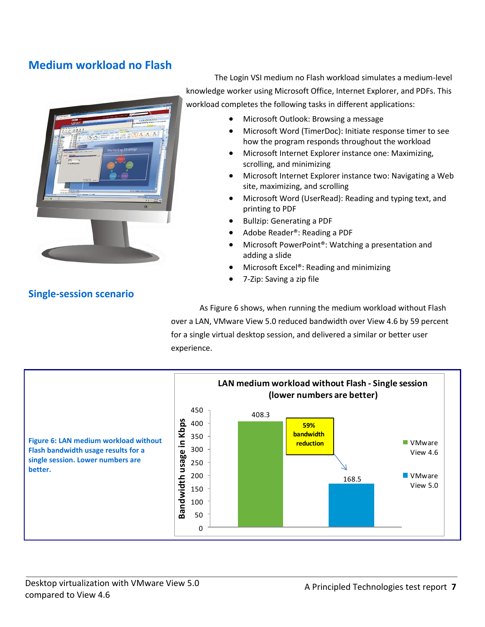# **Medium workload no Flash**



The Login VSI medium no Flash workload simulates a medium-level knowledge worker using Microsoft Office, Internet Explorer, and PDFs. This workload completes the following tasks in different applications:

- Microsoft Outlook: Browsing a message
- Microsoft Word (TimerDoc): Initiate response timer to see how the program responds throughout the workload
- Microsoft Internet Explorer instance one: Maximizing, scrolling, and minimizing
- Microsoft Internet Explorer instance two: Navigating a Web site, maximizing, and scrolling
- Microsoft Word (UserRead): Reading and typing text, and printing to PDF
- Bullzip: Generating a PDF
- Adobe Reader<sup>®</sup>: Reading a PDF
- Microsoft PowerPoint<sup>®</sup>: Watching a presentation and adding a slide
- Microsoft Excel®: Reading and minimizing
- 7-Zip: Saving a zip file

**Single-session scenario**

As Figure 6 shows, when running the medium workload without Flash over a LAN, VMware View 5.0 reduced bandwidth over View 4.6 by 59 percent for a single virtual desktop session, and delivered a similar or better user experience.

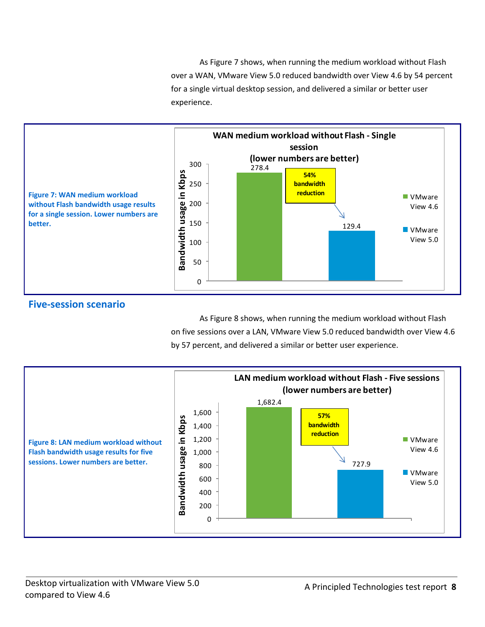As Figure 7 shows, when running the medium workload without Flash over a WAN, VMware View 5.0 reduced bandwidth over View 4.6 by 54 percent for a single virtual desktop session, and delivered a similar or better user experience.



### **Five-session scenario**

As Figure 8 shows, when running the medium workload without Flash on five sessions over a LAN, VMware View 5.0 reduced bandwidth over View 4.6 by 57 percent, and delivered a similar or better user experience.

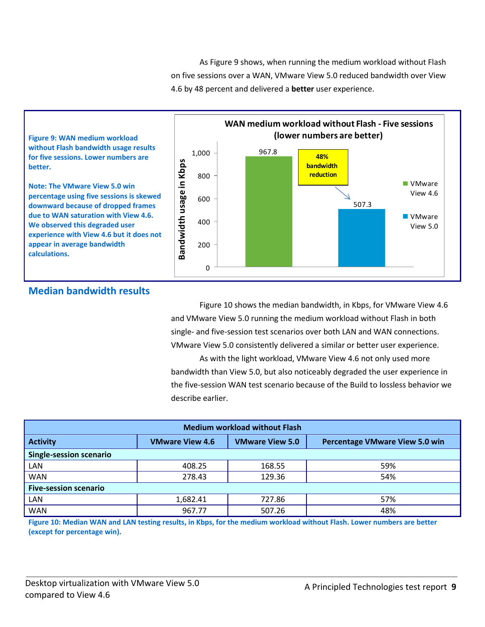As Figure 9 shows, when running the medium workload without Flash on five sessions over a WAN, VMware View 5.0 reduced bandwidth over View 4.6 by 48 percent and delivered a **better** user experience.



### **Median bandwidth results**

Figure 10 shows the median bandwidth, in Kbps, for VMware View 4.6 and VMware View 5.0 running the medium workload without Flash in both single- and five-session test scenarios over both LAN and WAN connections. VMware View 5.0 consistently delivered a similar or better user experience.

As with the light workload, VMware View 4.6 not only used more bandwidth than View 5.0, but also noticeably degraded the user experience in the five-session WAN test scenario because of the Build to lossless behavior we describe earlier.

| <b>Medium workload without Flash</b> |                        |                        |                                       |
|--------------------------------------|------------------------|------------------------|---------------------------------------|
| <b>Activity</b>                      | <b>VMware View 4.6</b> | <b>VMware View 5.0</b> | <b>Percentage VMware View 5.0 win</b> |
| <b>Single-session scenario</b>       |                        |                        |                                       |
| LAN                                  | 408.25                 | 168.55                 | 59%                                   |
| <b>WAN</b>                           | 278.43                 | 129.36                 | 54%                                   |
| <b>Five-session scenario</b>         |                        |                        |                                       |
| LAN                                  | 1,682.41               | 727.86                 | 57%                                   |
| <b>WAN</b>                           | 967.77                 | 507.26                 | 48%                                   |

**Figure 10: Median WAN and LAN testing results, in Kbps, for the medium workload without Flash. Lower numbers are better (except for percentage win).**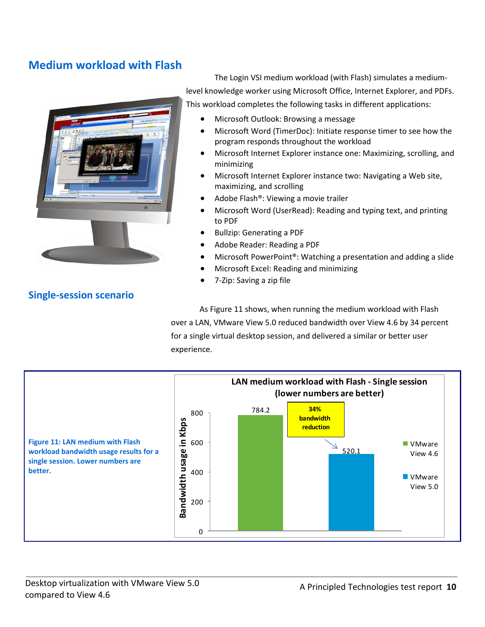# **Medium workload with Flash**



The Login VSI medium workload (with Flash) simulates a mediumlevel knowledge worker using Microsoft Office, Internet Explorer, and PDFs. This workload completes the following tasks in different applications:

- Microsoft Outlook: Browsing a message
- Microsoft Word (TimerDoc): Initiate response timer to see how the program responds throughout the workload
- Microsoft Internet Explorer instance one: Maximizing, scrolling, and minimizing
- Microsoft Internet Explorer instance two: Navigating a Web site, maximizing, and scrolling
- Adobe Flash®: Viewing a movie trailer
- Microsoft Word (UserRead): Reading and typing text, and printing to PDF
- Bullzip: Generating a PDF
- Adobe Reader: Reading a PDF
- Microsoft PowerPoint®: Watching a presentation and adding a slide
- Microsoft Excel: Reading and minimizing
- 7-Zip: Saving a zip file

As Figure 11 shows, when running the medium workload with Flash over a LAN, VMware View 5.0 reduced bandwidth over View 4.6 by 34 percent for a single virtual desktop session, and delivered a similar or better user experience.



**Single-session scenario**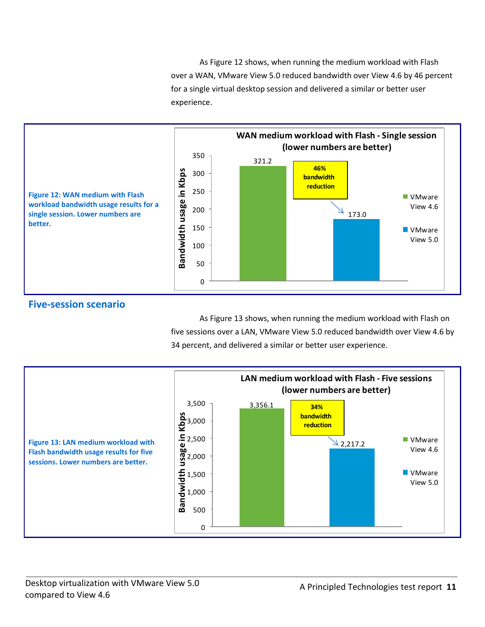As Figure 12 shows, when running the medium workload with Flash over a WAN, VMware View 5.0 reduced bandwidth over View 4.6 by 46 percent for a single virtual desktop session and delivered a similar or better user experience.



### **Five-session scenario**

As Figure 13 shows, when running the medium workload with Flash on five sessions over a LAN, VMware View 5.0 reduced bandwidth over View 4.6 by 34 percent, and delivered a similar or better user experience.

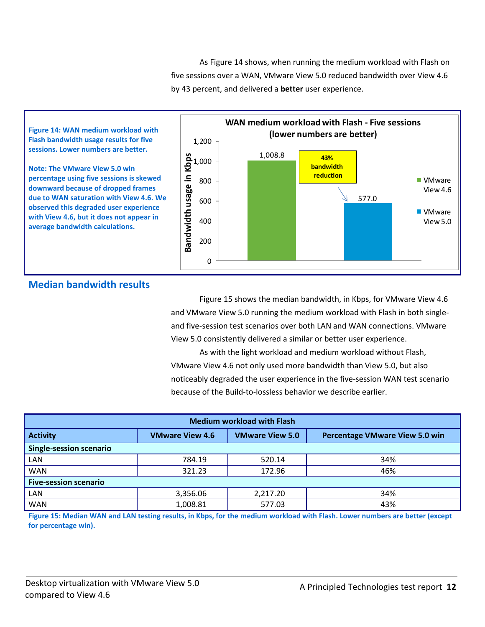As Figure 14 shows, when running the medium workload with Flash on five sessions over a WAN, VMware View 5.0 reduced bandwidth over View 4.6 by 43 percent, and delivered a **better** user experience.



### **Median bandwidth results**

Figure 15 shows the median bandwidth, in Kbps, for VMware View 4.6 and VMware View 5.0 running the medium workload with Flash in both singleand five-session test scenarios over both LAN and WAN connections. VMware View 5.0 consistently delivered a similar or better user experience.

As with the light workload and medium workload without Flash, VMware View 4.6 not only used more bandwidth than View 5.0, but also noticeably degraded the user experience in the five-session WAN test scenario because of the Build-to-lossless behavior we describe earlier.

| <b>Medium workload with Flash</b> |                        |                        |                                       |
|-----------------------------------|------------------------|------------------------|---------------------------------------|
| <b>Activity</b>                   | <b>VMware View 4.6</b> | <b>VMware View 5.0</b> | <b>Percentage VMware View 5.0 win</b> |
| <b>Single-session scenario</b>    |                        |                        |                                       |
| LAN                               | 784.19                 | 520.14                 | 34%                                   |
| <b>WAN</b>                        | 321.23                 | 172.96                 | 46%                                   |
| <b>Five-session scenario</b>      |                        |                        |                                       |
| LAN                               | 3,356.06               | 2,217.20               | 34%                                   |
| <b>WAN</b>                        | 1,008.81               | 577.03                 | 43%                                   |

**Figure 15: Median WAN and LAN testing results, in Kbps, for the medium workload with Flash. Lower numbers are better (except for percentage win).**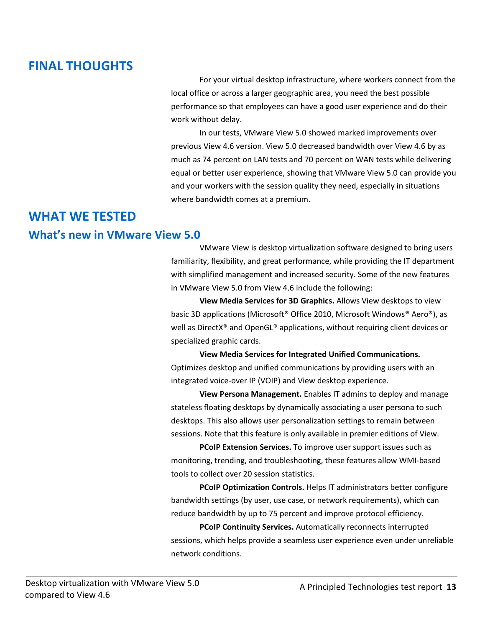# **FINAL THOUGHTS**

For your virtual desktop infrastructure, where workers connect from the local office or across a larger geographic area, you need the best possible performance so that employees can have a good user experience and do their work without delay.

In our tests, VMware View 5.0 showed marked improvements over previous View 4.6 version. View 5.0 decreased bandwidth over View 4.6 by as much as 74 percent on LAN tests and 70 percent on WAN tests while delivering equal or better user experience, showing that VMware View 5.0 can provide you and your workers with the session quality they need, especially in situations where bandwidth comes at a premium.

# **WHAT WE TESTED**

# **What's new in VMware View 5.0**

VMware View is desktop virtualization software designed to bring users familiarity, flexibility, and great performance, while providing the IT department with simplified management and increased security. Some of the new features in VMware View 5.0 from View 4.6 include the following:

**View Media Services for 3D Graphics.** Allows View desktops to view basic 3D applications (Microsoft® Office 2010, Microsoft Windows® Aero®), as well as DirectX® and OpenGL® applications, without requiring client devices or specialized graphic cards.

**View Media Services for Integrated Unified Communications.**  Optimizes desktop and unified communications by providing users with an integrated voice-over IP (VOIP) and View desktop experience.

**View Persona Management.** Enables IT admins to deploy and manage stateless floating desktops by dynamically associating a user persona to such desktops. This also allows user personalization settings to remain between sessions. Note that this feature is only available in premier editions of View.

**PCoIP Extension Services.** To improve user support issues such as monitoring, trending, and troubleshooting, these features allow WMI-based tools to collect over 20 session statistics.

**PCoIP Optimization Controls.** Helps IT administrators better configure bandwidth settings (by user, use case, or network requirements), which can reduce bandwidth by up to 75 percent and improve protocol efficiency.

**PCoIP Continuity Services.** Automatically reconnects interrupted sessions, which helps provide a seamless user experience even under unreliable network conditions.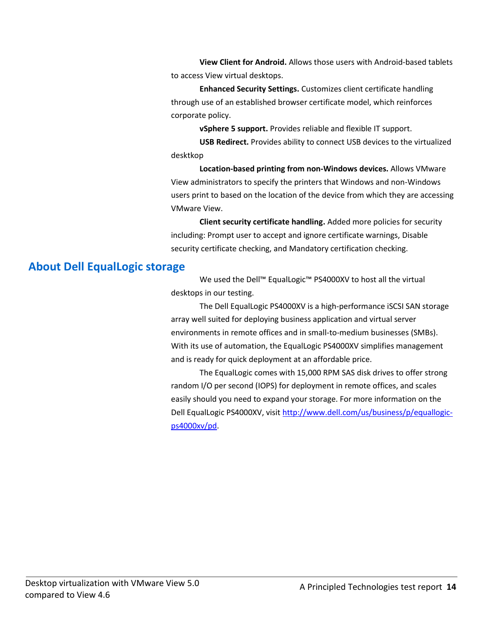**View Client for Android.** Allows those users with Android-based tablets to access View virtual desktops.

**Enhanced Security Settings.** Customizes client certificate handling through use of an established browser certificate model, which reinforces corporate policy.

**vSphere 5 support.** Provides reliable and flexible IT support.

**USB Redirect.** Provides ability to connect USB devices to the virtualized desktkop

**Location-based printing from non-Windows devices.** Allows VMware View administrators to specify the printers that Windows and non-Windows users print to based on the location of the device from which they are accessing VMware View.

**Client security certificate handling.** Added more policies for security including: Prompt user to accept and ignore certificate warnings, Disable security certificate checking, and Mandatory certification checking.

# **About Dell EqualLogic storage**

We used the Dell™ EqualLogic™ PS4000XV to host all the virtual desktops in our testing.

The Dell EqualLogic PS4000XV is a high-performance iSCSI SAN storage array well suited for deploying business application and virtual server environments in remote offices and in small-to-medium businesses (SMBs). With its use of automation, the EqualLogic PS4000XV simplifies management and is ready for quick deployment at an affordable price.

The EqualLogic comes with 15,000 RPM SAS disk drives to offer strong random I/O per second (IOPS) for deployment in remote offices, and scales easily should you need to expand your storage. For more information on the Dell EqualLogic PS4000XV, visi[t http://www.dell.com/us/business/p/equallogic](http://www.dell.com/us/business/p/equallogic-ps4000xv/pd)[ps4000xv/pd.](http://www.dell.com/us/business/p/equallogic-ps4000xv/pd)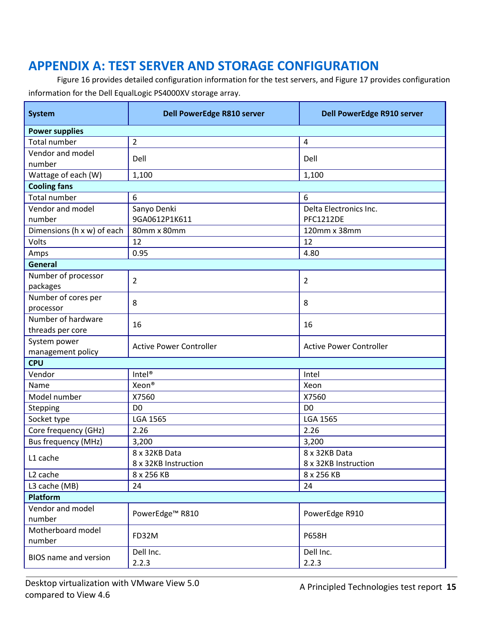# <span id="page-14-0"></span>**APPENDIX A: TEST SERVER AND STORAGE CONFIGURATION**

Figure 16 provides detailed configuration information for the test servers, and Figure 17 provides configuration information for the Dell EqualLogic PS4000XV storage array.

| <b>System</b>                          | Dell PowerEdge R810 server     | Dell PowerEdge R910 server                 |  |
|----------------------------------------|--------------------------------|--------------------------------------------|--|
| <b>Power supplies</b>                  |                                |                                            |  |
| <b>Total number</b>                    | $\overline{2}$                 | $\overline{\mathbf{4}}$                    |  |
| Vendor and model<br>number             | Dell                           | Dell                                       |  |
| Wattage of each (W)                    | 1,100                          | 1,100                                      |  |
| <b>Cooling fans</b>                    |                                |                                            |  |
| <b>Total number</b>                    | 6                              | 6                                          |  |
| Vendor and model<br>number             | Sanyo Denki<br>9GA0612P1K611   | Delta Electronics Inc.<br><b>PFC1212DE</b> |  |
| Dimensions (h x w) of each             | 80mm x 80mm                    | 120mm x 38mm                               |  |
| Volts                                  | 12                             | 12                                         |  |
| Amps                                   | 0.95                           | 4.80                                       |  |
| <b>General</b>                         |                                |                                            |  |
| Number of processor<br>packages        | $\overline{2}$                 | $\overline{2}$                             |  |
| Number of cores per<br>processor       | 8                              | 8                                          |  |
| Number of hardware<br>threads per core | 16                             | 16                                         |  |
| System power<br>management policy      | <b>Active Power Controller</b> | <b>Active Power Controller</b>             |  |
| <b>CPU</b>                             |                                |                                            |  |
| Vendor                                 | Intel <sup>®</sup>             | Intel                                      |  |
| Name                                   | Xeon®                          | Xeon                                       |  |
| Model number                           | X7560                          | X7560                                      |  |
| Stepping                               | D <sub>0</sub>                 | D <sub>0</sub>                             |  |
| Socket type                            | <b>LGA 1565</b>                | <b>LGA 1565</b>                            |  |
| Core frequency (GHz)                   | 2.26                           | 2.26                                       |  |
| <b>Bus frequency (MHz)</b>             | 3,200                          | 3,200                                      |  |
| L1 cache                               | 8 x 32KB Data                  | 8 x 32KB Data                              |  |
|                                        | 8 x 32KB Instruction           | 8 x 32KB Instruction                       |  |
| L <sub>2</sub> cache                   | 8 x 256 KB                     | 8 x 256 KB                                 |  |
| L3 cache (MB)                          | 24                             | 24                                         |  |
| Platform                               |                                |                                            |  |
| Vendor and model                       | PowerEdge <sup>™</sup> R810    | PowerEdge R910                             |  |
| number                                 |                                |                                            |  |
| Motherboard model<br>number            | FD32M                          | <b>P658H</b>                               |  |
| BIOS name and version                  | Dell Inc.<br>2.2.3             | Dell Inc.<br>2.2.3                         |  |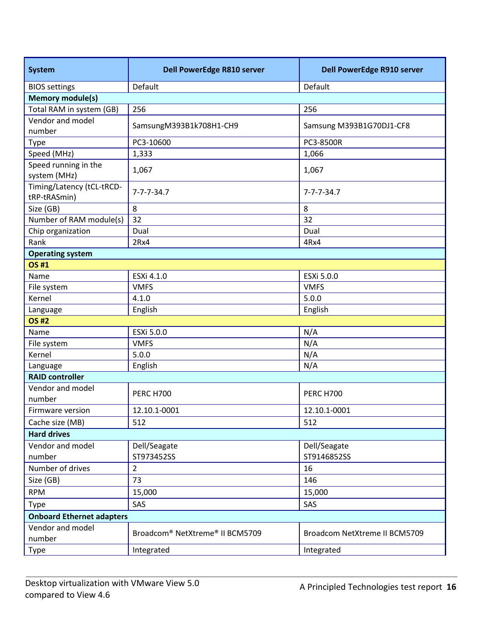| <b>System</b>                             | Dell PowerEdge R810 server      | Dell PowerEdge R910 server    |  |
|-------------------------------------------|---------------------------------|-------------------------------|--|
| <b>BIOS</b> settings                      | Default                         | Default                       |  |
| <b>Memory module(s)</b>                   |                                 |                               |  |
| Total RAM in system (GB)                  | 256                             | 256                           |  |
| Vendor and model<br>number                | SamsungM393B1k708H1-CH9         | Samsung M393B1G70DJ1-CF8      |  |
| Type                                      | PC3-10600                       | PC3-8500R                     |  |
| Speed (MHz)                               | 1,333                           | 1,066                         |  |
| Speed running in the<br>system (MHz)      | 1,067                           | 1,067                         |  |
| Timing/Latency (tCL-tRCD-<br>tRP-tRASmin) | $7 - 7 - 7 - 34.7$              | $7 - 7 - 7 - 34.7$            |  |
| Size (GB)                                 | 8                               | 8                             |  |
| Number of RAM module(s)                   | 32                              | 32                            |  |
| Chip organization                         | Dual                            | Dual                          |  |
| Rank                                      | 2Rx4                            | 4Rx4                          |  |
| <b>Operating system</b>                   |                                 |                               |  |
| <b>OS#1</b>                               |                                 |                               |  |
| Name                                      | ESXi 4.1.0                      | ESXi 5.0.0                    |  |
| File system                               | <b>VMFS</b>                     | <b>VMFS</b>                   |  |
| Kernel                                    | 4.1.0                           | 5.0.0                         |  |
| Language                                  | English                         | English                       |  |
| <b>OS#2</b>                               |                                 |                               |  |
| Name                                      | ESXi 5.0.0                      | N/A                           |  |
| File system                               | <b>VMFS</b>                     | N/A                           |  |
| Kernel                                    | 5.0.0                           | N/A                           |  |
| Language                                  | English                         | N/A                           |  |
| <b>RAID controller</b>                    |                                 |                               |  |
| Vendor and model<br>number                | <b>PERC H700</b>                | <b>PERC H700</b>              |  |
| Firmware version                          | 12.10.1-0001                    | 12.10.1-0001                  |  |
| Cache size (MB)                           | 512                             | 512                           |  |
| <b>Hard drives</b>                        |                                 |                               |  |
| Vendor and model                          | Dell/Seagate                    | Dell/Seagate                  |  |
| number                                    | ST973452SS                      | ST9146852SS                   |  |
| Number of drives                          | $\overline{2}$                  | 16                            |  |
| Size (GB)                                 | 73                              | 146                           |  |
| <b>RPM</b>                                | 15,000                          | 15,000                        |  |
| Type                                      | SAS                             | SAS                           |  |
| <b>Onboard Ethernet adapters</b>          |                                 |                               |  |
| Vendor and model<br>number                | Broadcom® NetXtreme® II BCM5709 | Broadcom NetXtreme II BCM5709 |  |
| Type                                      | Integrated                      | Integrated                    |  |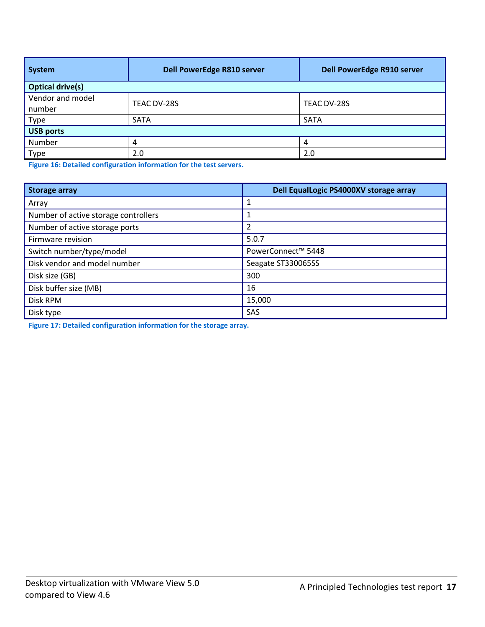| System                     | <b>Dell PowerEdge R810 server</b> | Dell PowerEdge R910 server |  |
|----------------------------|-----------------------------------|----------------------------|--|
| <b>Optical drive(s)</b>    |                                   |                            |  |
| Vendor and model<br>number | TEAC DV-28S                       | TEAC DV-28S                |  |
| Type                       | <b>SATA</b>                       | SATA                       |  |
| <b>USB ports</b>           |                                   |                            |  |
| Number                     | 4                                 | 4                          |  |
| Type                       | 2.0                               | 2.0                        |  |

**Figure 16: Detailed configuration information for the test servers.**

| <b>Storage array</b>                 | Dell EqualLogic PS4000XV storage array |
|--------------------------------------|----------------------------------------|
| Array                                |                                        |
| Number of active storage controllers |                                        |
| Number of active storage ports       | 2                                      |
| Firmware revision                    | 5.0.7                                  |
| Switch number/type/model             | PowerConnect™ 5448                     |
| Disk vendor and model number         | Seagate ST330065SS                     |
| Disk size (GB)                       | 300                                    |
| Disk buffer size (MB)                | 16                                     |
| Disk RPM                             | 15,000                                 |
| Disk type                            | SAS                                    |

**Figure 17: Detailed configuration information for the storage array.**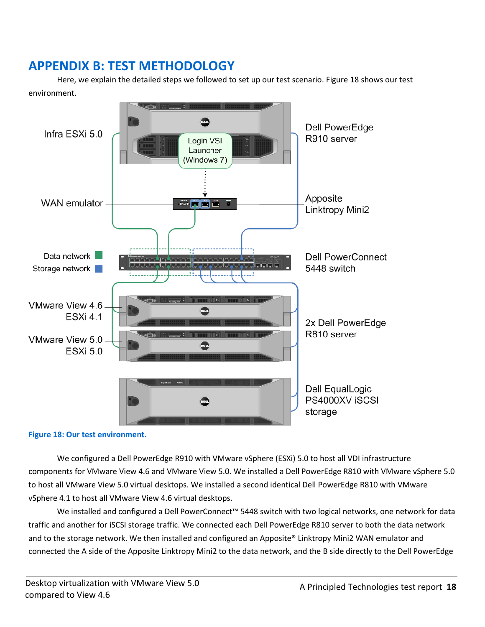# <span id="page-17-0"></span>**APPENDIX B: TEST METHODOLOGY**

Here, we explain the detailed steps we followed to set up our test scenario. Figure 18 shows our test environment.



**Figure 18: Our test environment.**

We configured a Dell PowerEdge R910 with VMware vSphere (ESXi) 5.0 to host all VDI infrastructure components for VMware View 4.6 and VMware View 5.0. We installed a Dell PowerEdge R810 with VMware vSphere 5.0 to host all VMware View 5.0 virtual desktops. We installed a second identical Dell PowerEdge R810 with VMware vSphere 4.1 to host all VMware View 4.6 virtual desktops.

We installed and configured a Dell PowerConnect™ 5448 switch with two logical networks, one network for data traffic and another for iSCSI storage traffic. We connected each Dell PowerEdge R810 server to both the data network and to the storage network. We then installed and configured an Apposite® Linktropy Mini2 WAN emulator and connected the A side of the Apposite Linktropy Mini2 to the data network, and the B side directly to the Dell PowerEdge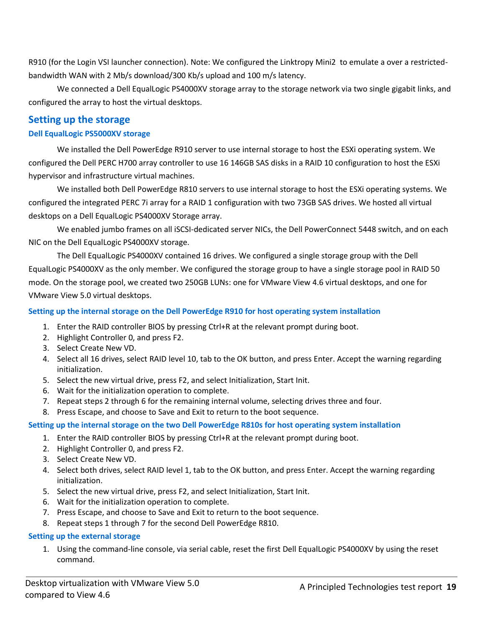R910 (for the Login VSI launcher connection). Note: We configured the Linktropy Mini2 to emulate a over a restrictedbandwidth WAN with 2 Mb/s download/300 Kb/s upload and 100 m/s latency.

We connected a Dell EqualLogic PS4000XV storage array to the storage network via two single gigabit links, and configured the array to host the virtual desktops.

### **Setting up the storage**

#### **Dell EqualLogic PS5000XV storage**

We installed the Dell PowerEdge R910 server to use internal storage to host the ESXi operating system. We configured the Dell PERC H700 array controller to use 16 146GB SAS disks in a RAID 10 configuration to host the ESXi hypervisor and infrastructure virtual machines.

We installed both Dell PowerEdge R810 servers to use internal storage to host the ESXi operating systems. We configured the integrated PERC 7i array for a RAID 1 configuration with two 73GB SAS drives. We hosted all virtual desktops on a Dell EqualLogic PS4000XV Storage array.

We enabled jumbo frames on all iSCSI-dedicated server NICs, the Dell PowerConnect 5448 switch, and on each NIC on the Dell EqualLogic PS4000XV storage.

The Dell EqualLogic PS4000XV contained 16 drives. We configured a single storage group with the Dell EqualLogic PS4000XV as the only member. We configured the storage group to have a single storage pool in RAID 50 mode. On the storage pool, we created two 250GB LUNs: one for VMware View 4.6 virtual desktops, and one for VMware View 5.0 virtual desktops.

#### **Setting up the internal storage on the Dell PowerEdge R910 for host operating system installation**

- 1. Enter the RAID controller BIOS by pressing Ctrl+R at the relevant prompt during boot.
- 2. Highlight Controller 0, and press F2.
- 3. Select Create New VD.
- 4. Select all 16 drives, select RAID level 10, tab to the OK button, and press Enter. Accept the warning regarding initialization.
- 5. Select the new virtual drive, press F2, and select Initialization, Start Init.
- 6. Wait for the initialization operation to complete.
- 7. Repeat steps 2 through 6 for the remaining internal volume, selecting drives three and four.
- 8. Press Escape, and choose to Save and Exit to return to the boot sequence.

#### **Setting up the internal storage on the two Dell PowerEdge R810s for host operating system installation**

- 1. Enter the RAID controller BIOS by pressing Ctrl+R at the relevant prompt during boot.
- 2. Highlight Controller 0, and press F2.
- 3. Select Create New VD.
- 4. Select both drives, select RAID level 1, tab to the OK button, and press Enter. Accept the warning regarding initialization.
- 5. Select the new virtual drive, press F2, and select Initialization, Start Init.
- 6. Wait for the initialization operation to complete.
- 7. Press Escape, and choose to Save and Exit to return to the boot sequence.
- 8. Repeat steps 1 through 7 for the second Dell PowerEdge R810.

#### **Setting up the external storage**

1. Using the command-line console, via serial cable, reset the first Dell EqualLogic PS4000XV by using the reset command.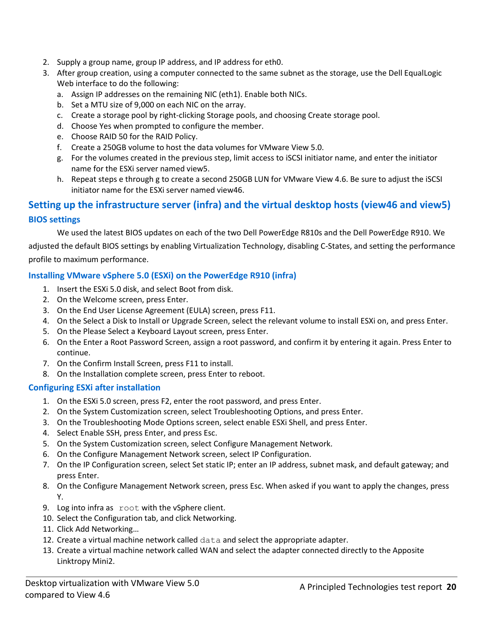- 2. Supply a group name, group IP address, and IP address for eth0.
- 3. After group creation, using a computer connected to the same subnet as the storage, use the Dell EqualLogic Web interface to do the following:
	- a. Assign IP addresses on the remaining NIC (eth1). Enable both NICs.
	- b. Set a MTU size of 9,000 on each NIC on the array.
	- c. Create a storage pool by right-clicking Storage pools, and choosing Create storage pool.
	- d. Choose Yes when prompted to configure the member.
	- e. Choose RAID 50 for the RAID Policy.
	- f. Create a 250GB volume to host the data volumes for VMware View 5.0.
	- g. For the volumes created in the previous step, limit access to iSCSI initiator name, and enter the initiator name for the ESXi server named view5.
	- h. Repeat steps e through g to create a second 250GB LUN for VMware View 4.6. Be sure to adjust the iSCSI initiator name for the ESXi server named view46.

# **Setting up the infrastructure server (infra) and the virtual desktop hosts (view46 and view5) BIOS settings**

We used the latest BIOS updates on each of the two Dell PowerEdge R810s and the Dell PowerEdge R910. We adjusted the default BIOS settings by enabling Virtualization Technology, disabling C-States, and setting the performance profile to maximum performance.

### **Installing VMware vSphere 5.0 (ESXi) on the PowerEdge R910 (infra)**

- 1. Insert the ESXi 5.0 disk, and select Boot from disk.
- 2. On the Welcome screen, press Enter.
- 3. On the End User License Agreement (EULA) screen, press F11.
- 4. On the Select a Disk to Install or Upgrade Screen, select the relevant volume to install ESXi on, and press Enter.
- 5. On the Please Select a Keyboard Layout screen, press Enter.
- 6. On the Enter a Root Password Screen, assign a root password, and confirm it by entering it again. Press Enter to continue.
- 7. On the Confirm Install Screen, press F11 to install.
- 8. On the Installation complete screen, press Enter to reboot.

#### **Configuring ESXi after installation**

- 1. On the ESXi 5.0 screen, press F2, enter the root password, and press Enter.
- 2. On the System Customization screen, select Troubleshooting Options, and press Enter.
- 3. On the Troubleshooting Mode Options screen, select enable ESXi Shell, and press Enter.
- 4. Select Enable SSH, press Enter, and press Esc.
- 5. On the System Customization screen, select Configure Management Network.
- 6. On the Configure Management Network screen, select IP Configuration.
- 7. On the IP Configuration screen, select Set static IP; enter an IP address, subnet mask, and default gateway; and press Enter.
- 8. On the Configure Management Network screen, press Esc. When asked if you want to apply the changes, press Y.
- 9. Log into infra as root with the vSphere client.
- 10. Select the Configuration tab, and click Networking.
- 11. Click Add Networking…
- 12. Create a virtual machine network called data and select the appropriate adapter.
- 13. Create a virtual machine network called WAN and select the adapter connected directly to the Apposite Linktropy Mini2.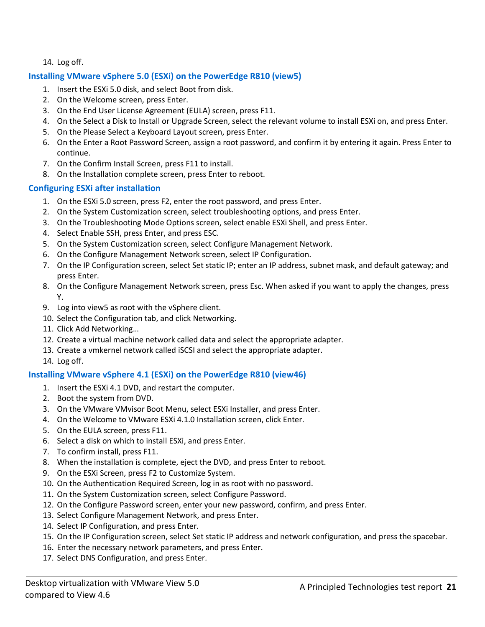14. Log off.

### **Installing VMware vSphere 5.0 (ESXi) on the PowerEdge R810 (view5)**

- 1. Insert the ESXi 5.0 disk, and select Boot from disk.
- 2. On the Welcome screen, press Enter.
- 3. On the End User License Agreement (EULA) screen, press F11.
- 4. On the Select a Disk to Install or Upgrade Screen, select the relevant volume to install ESXi on, and press Enter.
- 5. On the Please Select a Keyboard Layout screen, press Enter.
- 6. On the Enter a Root Password Screen, assign a root password, and confirm it by entering it again. Press Enter to continue.
- 7. On the Confirm Install Screen, press F11 to install.
- 8. On the Installation complete screen, press Enter to reboot.

### **Configuring ESXi after installation**

- 1. On the ESXi 5.0 screen, press F2, enter the root password, and press Enter.
- 2. On the System Customization screen, select troubleshooting options, and press Enter.
- 3. On the Troubleshooting Mode Options screen, select enable ESXi Shell, and press Enter.
- 4. Select Enable SSH, press Enter, and press ESC.
- 5. On the System Customization screen, select Configure Management Network.
- 6. On the Configure Management Network screen, select IP Configuration.
- 7. On the IP Configuration screen, select Set static IP; enter an IP address, subnet mask, and default gateway; and press Enter.
- 8. On the Configure Management Network screen, press Esc. When asked if you want to apply the changes, press Y.
- 9. Log into view5 as root with the vSphere client.
- 10. Select the Configuration tab, and click Networking.
- 11. Click Add Networking…
- 12. Create a virtual machine network called data and select the appropriate adapter.
- 13. Create a vmkernel network called iSCSI and select the appropriate adapter.
- 14. Log off.

# **Installing VMware vSphere 4.1 (ESXi) on the PowerEdge R810 (view46)**

- 1. Insert the ESXi 4.1 DVD, and restart the computer.
- 2. Boot the system from DVD.
- 3. On the VMware VMvisor Boot Menu, select ESXi Installer, and press Enter.
- 4. On the Welcome to VMware ESXi 4.1.0 Installation screen, click Enter.
- 5. On the EULA screen, press F11.
- 6. Select a disk on which to install ESXi, and press Enter.
- 7. To confirm install, press F11.
- 8. When the installation is complete, eject the DVD, and press Enter to reboot.
- 9. On the ESXi Screen, press F2 to Customize System.
- 10. On the Authentication Required Screen, log in as root with no password.
- 11. On the System Customization screen, select Configure Password.
- 12. On the Configure Password screen, enter your new password, confirm, and press Enter.
- 13. Select Configure Management Network, and press Enter.
- 14. Select IP Configuration, and press Enter.
- 15. On the IP Configuration screen, select Set static IP address and network configuration, and press the spacebar.
- 16. Enter the necessary network parameters, and press Enter.
- 17. Select DNS Configuration, and press Enter.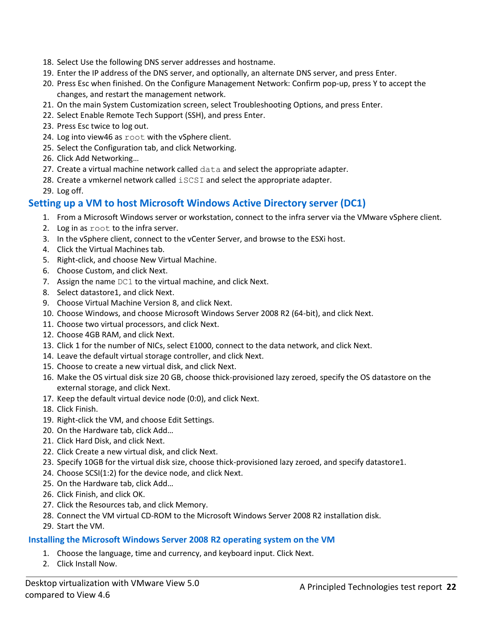- 18. Select Use the following DNS server addresses and hostname.
- 19. Enter the IP address of the DNS server, and optionally, an alternate DNS server, and press Enter.
- 20. Press Esc when finished. On the Configure Management Network: Confirm pop-up, press Y to accept the changes, and restart the management network.
- 21. On the main System Customization screen, select Troubleshooting Options, and press Enter.
- 22. Select Enable Remote Tech Support (SSH), and press Enter.
- 23. Press Esc twice to log out.
- 24. Log into view46 as root with the vSphere client.
- 25. Select the Configuration tab, and click Networking.
- 26. Click Add Networking…
- 27. Create a virtual machine network called data and select the appropriate adapter.
- 28. Create a vmkernel network called iSCSI and select the appropriate adapter.
- 29. Log off.

### **Setting up a VM to host Microsoft Windows Active Directory server (DC1)**

- 1. From a Microsoft Windows server or workstation, connect to the infra server via the VMware vSphere client.
- 2. Log in as root to the infra server.
- 3. In the vSphere client, connect to the vCenter Server, and browse to the ESXi host.
- 4. Click the Virtual Machines tab.
- 5. Right-click, and choose New Virtual Machine.
- 6. Choose Custom, and click Next.
- 7. Assign the name DC1 to the virtual machine, and click Next.
- 8. Select datastore1, and click Next.
- 9. Choose Virtual Machine Version 8, and click Next.
- 10. Choose Windows, and choose Microsoft Windows Server 2008 R2 (64-bit), and click Next.
- 11. Choose two virtual processors, and click Next.
- 12. Choose 4GB RAM, and click Next.
- 13. Click 1 for the number of NICs, select E1000, connect to the data network, and click Next.
- 14. Leave the default virtual storage controller, and click Next.
- 15. Choose to create a new virtual disk, and click Next.
- 16. Make the OS virtual disk size 20 GB, choose thick-provisioned lazy zeroed, specify the OS datastore on the external storage, and click Next.
- 17. Keep the default virtual device node (0:0), and click Next.
- 18. Click Finish.
- 19. Right-click the VM, and choose Edit Settings.
- 20. On the Hardware tab, click Add…
- 21. Click Hard Disk, and click Next.
- 22. Click Create a new virtual disk, and click Next.
- 23. Specify 10GB for the virtual disk size, choose thick-provisioned lazy zeroed, and specify datastore1.
- 24. Choose SCSI(1:2) for the device node, and click Next.
- 25. On the Hardware tab, click Add…
- 26. Click Finish, and click OK.
- 27. Click the Resources tab, and click Memory.
- 28. Connect the VM virtual CD-ROM to the Microsoft Windows Server 2008 R2 installation disk.
- 29. Start the VM.

#### **Installing the Microsoft Windows Server 2008 R2 operating system on the VM**

- 1. Choose the language, time and currency, and keyboard input. Click Next.
- 2. Click Install Now.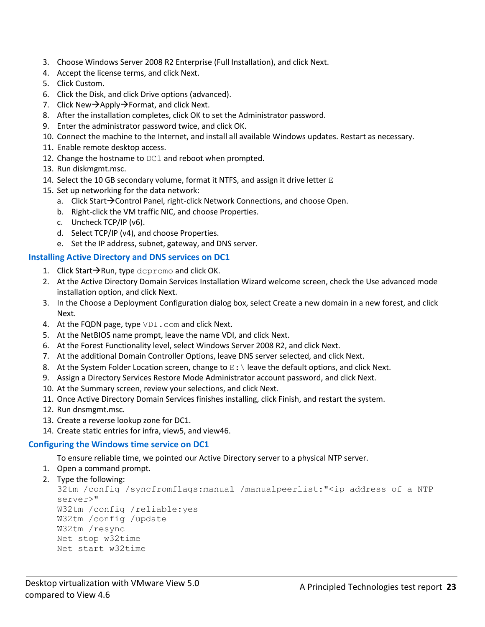- 3. Choose Windows Server 2008 R2 Enterprise (Full Installation), and click Next.
- 4. Accept the license terms, and click Next.
- 5. Click Custom.
- 6. Click the Disk, and click Drive options (advanced).
- 7. Click New $\rightarrow$ Apply $\rightarrow$ Format, and click Next.
- 8. After the installation completes, click OK to set the Administrator password.
- 9. Enter the administrator password twice, and click OK.
- 10. Connect the machine to the Internet, and install all available Windows updates. Restart as necessary.
- 11. Enable remote desktop access.
- 12. Change the hostname to DC1 and reboot when prompted.
- 13. Run diskmgmt.msc.
- 14. Select the 10 GB secondary volume, format it NTFS, and assign it drive letter  $E$
- 15. Set up networking for the data network:
	- a. Click Start $\rightarrow$ Control Panel, right-click Network Connections, and choose Open.
	- b. Right-click the VM traffic NIC, and choose Properties.
	- c. Uncheck TCP/IP (v6).
	- d. Select TCP/IP (v4), and choose Properties.
	- e. Set the IP address, subnet, gateway, and DNS server.

#### **Installing Active Directory and DNS services on DC1**

- 1. Click Start $\rightarrow$ Run, type dcpromo and click OK.
- 2. At the Active Directory Domain Services Installation Wizard welcome screen, check the Use advanced mode installation option, and click Next.
- 3. In the Choose a Deployment Configuration dialog box, select Create a new domain in a new forest, and click Next.
- 4. At the FQDN page, type VDI.com and click Next.
- 5. At the NetBIOS name prompt, leave the name VDI, and click Next.
- 6. At the Forest Functionality level, select Windows Server 2008 R2, and click Next.
- 7. At the additional Domain Controller Options, leave DNS server selected, and click Next.
- 8. At the System Folder Location screen, change to  $E:\ \$  leave the default options, and click Next.
- 9. Assign a Directory Services Restore Mode Administrator account password, and click Next.
- 10. At the Summary screen, review your selections, and click Next.
- 11. Once Active Directory Domain Services finishes installing, click Finish, and restart the system.
- 12. Run dnsmgmt.msc.
- 13. Create a reverse lookup zone for DC1.
- 14. Create static entries for infra, view5, and view46.

# **Configuring the Windows time service on DC1**

To ensure reliable time, we pointed our Active Directory server to a physical NTP server.

- 1. Open a command prompt.
- 2. Type the following:

```
32tm /config /syncfromflags:manual /manualpeerlist:"<ip address of a NTP 
server>"
W32tm /config /reliable:yes
W32tm /config /update
W32tm /resync
Net stop w32time
Net start w32time
```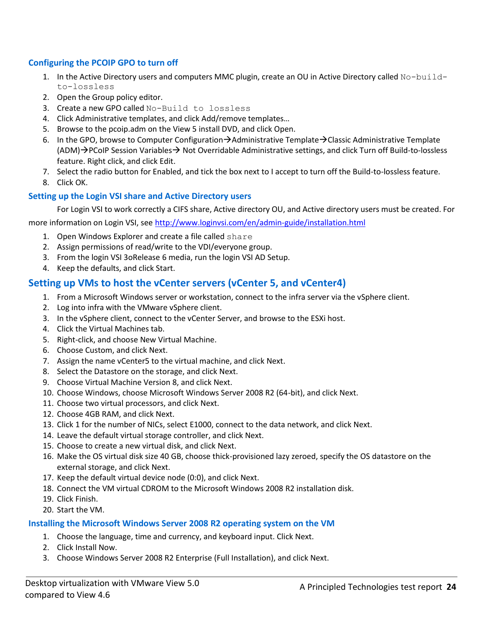#### **Configuring the PCOIP GPO to turn off**

- 1. In the Active Directory users and computers MMC plugin, create an OU in Active Directory called No-buildto-lossless
- 2. Open the Group policy editor.
- 3. Create a new GPO called No-Build to lossless
- 4. Click Administrative templates, and click Add/remove templates…
- 5. Browse to the pcoip.adm on the View 5 install DVD, and click Open.
- 6. In the GPO, browse to Computer Configuration $\rightarrow$ Administrative Template $\rightarrow$ Classic Administrative Template  $(ADM) \rightarrow PCOIP$  Session Variables  $\rightarrow$  Not Overridable Administrative settings, and click Turn off Build-to-lossless feature. Right click, and click Edit.
- 7. Select the radio button for Enabled, and tick the box next to I accept to turn off the Build-to-lossless feature.
- 8. Click OK.

### **Setting up the Login VSI share and Active Directory users**

For Login VSI to work correctly a CIFS share, Active directory OU, and Active directory users must be created. For

more information on Login VSI, se[e http://www.loginvsi.com/en/admin-guide/installation.html](http://www.loginvsi.com/en/admin-guide/installation.html)

- 1. Open Windows Explorer and create a file called share
- 2. Assign permissions of read/write to the VDI/everyone group.
- 3. From the login VSI 3oRelease 6 media, run the login VSI AD Setup.
- 4. Keep the defaults, and click Start.

# **Setting up VMs to host the vCenter servers (vCenter 5, and vCenter4)**

- 1. From a Microsoft Windows server or workstation, connect to the infra server via the vSphere client.
- 2. Log into infra with the VMware vSphere client.
- 3. In the vSphere client, connect to the vCenter Server, and browse to the ESXi host.
- 4. Click the Virtual Machines tab.
- 5. Right-click, and choose New Virtual Machine.
- 6. Choose Custom, and click Next.
- 7. Assign the name vCenter5 to the virtual machine, and click Next.
- 8. Select the Datastore on the storage, and click Next.
- 9. Choose Virtual Machine Version 8, and click Next.
- 10. Choose Windows, choose Microsoft Windows Server 2008 R2 (64-bit), and click Next.
- 11. Choose two virtual processors, and click Next.
- 12. Choose 4GB RAM, and click Next.
- 13. Click 1 for the number of NICs, select E1000, connect to the data network, and click Next.
- 14. Leave the default virtual storage controller, and click Next.
- 15. Choose to create a new virtual disk, and click Next.
- 16. Make the OS virtual disk size 40 GB, choose thick-provisioned lazy zeroed, specify the OS datastore on the external storage, and click Next.
- 17. Keep the default virtual device node (0:0), and click Next.
- 18. Connect the VM virtual CDROM to the Microsoft Windows 2008 R2 installation disk.
- 19. Click Finish.
- 20. Start the VM.

#### **Installing the Microsoft Windows Server 2008 R2 operating system on the VM**

- 1. Choose the language, time and currency, and keyboard input. Click Next.
- 2. Click Install Now.
- 3. Choose Windows Server 2008 R2 Enterprise (Full Installation), and click Next.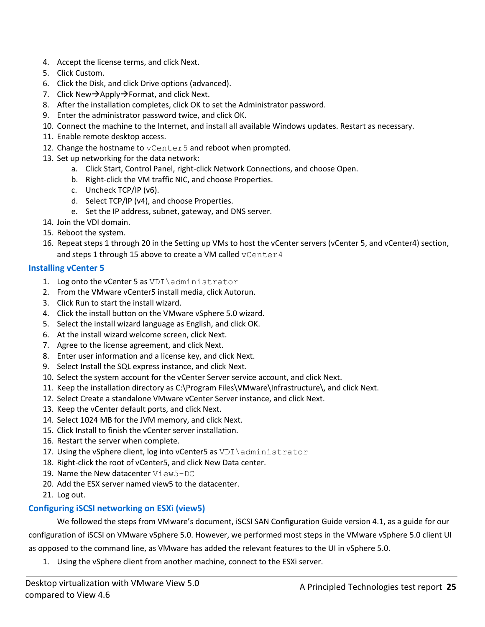- 4. Accept the license terms, and click Next.
- 5. Click Custom.
- 6. Click the Disk, and click Drive options (advanced).
- 7. Click New $\rightarrow$ Apply $\rightarrow$ Format, and click Next.
- 8. After the installation completes, click OK to set the Administrator password.
- 9. Enter the administrator password twice, and click OK.
- 10. Connect the machine to the Internet, and install all available Windows updates. Restart as necessary.
- 11. Enable remote desktop access.
- 12. Change the hostname to vCenter5 and reboot when prompted.
- 13. Set up networking for the data network:
	- a. Click Start, Control Panel, right-click Network Connections, and choose Open.
	- b. Right-click the VM traffic NIC, and choose Properties.
	- c. Uncheck TCP/IP (v6).
	- d. Select TCP/IP (v4), and choose Properties.
	- e. Set the IP address, subnet, gateway, and DNS server.
- 14. Join the VDI domain.
- 15. Reboot the system.
- 16. Repeat steps 1 through 20 in the Setting up VMs to host the vCenter servers (vCenter 5, and vCenter4) section, and steps 1 through 15 above to create a VM called vCenter4

#### **Installing vCenter 5**

- 1. Log onto the vCenter 5 as  $VDI\administrator$
- 2. From the VMware vCenter5 install media, click Autorun.
- 3. Click Run to start the install wizard.
- 4. Click the install button on the VMware vSphere 5.0 wizard.
- 5. Select the install wizard language as English, and click OK.
- 6. At the install wizard welcome screen, click Next.
- 7. Agree to the license agreement, and click Next.
- 8. Enter user information and a license key, and click Next.
- 9. Select Install the SQL express instance, and click Next.
- 10. Select the system account for the vCenter Server service account, and click Next.
- 11. Keep the installation directory as C:\Program Files\VMware\Infrastructure\, and click Next.
- 12. Select Create a standalone VMware vCenter Server instance, and click Next.
- 13. Keep the vCenter default ports, and click Next.
- 14. Select 1024 MB for the JVM memory, and click Next.
- 15. Click Install to finish the vCenter server installation.
- 16. Restart the server when complete.
- 17. Using the vSphere client, log into vCenter5 as VDI\administrator
- 18. Right-click the root of vCenter5, and click New Data center.
- 19. Name the New datacenter View5-DC
- 20. Add the ESX server named view5 to the datacenter.
- 21. Log out.

#### **Configuring iSCSI networking on ESXi (view5)**

We followed the steps from VMware's document, iSCSI SAN Configuration Guide version 4.1, as a guide for our configuration of iSCSI on VMware vSphere 5.0. However, we performed most steps in the VMware vSphere 5.0 client UI as opposed to the command line, as VMware has added the relevant features to the UI in vSphere 5.0.

1. Using the vSphere client from another machine, connect to the ESXi server.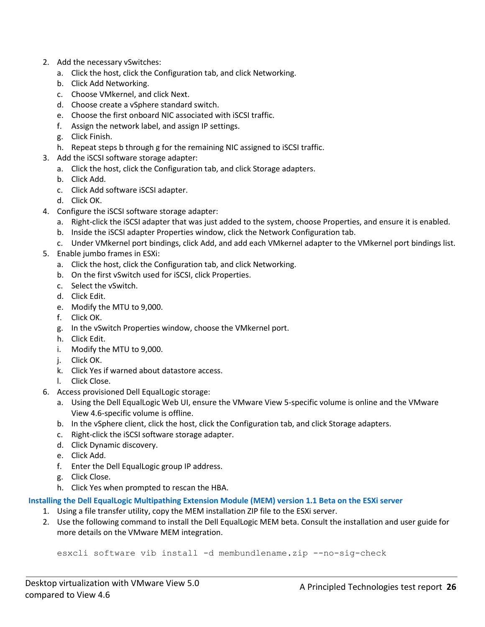- 2. Add the necessary vSwitches:
	- a. Click the host, click the Configuration tab, and click Networking.
	- b. Click Add Networking.
	- c. Choose VMkernel, and click Next.
	- d. Choose create a vSphere standard switch.
	- e. Choose the first onboard NIC associated with iSCSI traffic.
	- f. Assign the network label, and assign IP settings.
	- g. Click Finish.
	- h. Repeat steps b through g for the remaining NIC assigned to iSCSI traffic.
- 3. Add the iSCSI software storage adapter:
	- a. Click the host, click the Configuration tab, and click Storage adapters.
	- b. Click Add.
	- c. Click Add software iSCSI adapter.
	- d. Click OK.
- 4. Configure the iSCSI software storage adapter:
	- a. Right-click the iSCSI adapter that was just added to the system, choose Properties, and ensure it is enabled.
	- b. Inside the iSCSI adapter Properties window, click the Network Configuration tab.
	- c. Under VMkernel port bindings, click Add, and add each VMkernel adapter to the VMkernel port bindings list.
- 5. Enable jumbo frames in ESXi:
	- a. Click the host, click the Configuration tab, and click Networking.
	- b. On the first vSwitch used for iSCSI, click Properties.
	- c. Select the vSwitch.
	- d. Click Edit.
	- e. Modify the MTU to 9,000.
	- f. Click OK.
	- g. In the vSwitch Properties window, choose the VMkernel port.
	- h. Click Edit.
	- i. Modify the MTU to 9,000.
	- j. Click OK.
	- k. Click Yes if warned about datastore access.
	- l. Click Close.
- 6. Access provisioned Dell EqualLogic storage:
	- a. Using the Dell EqualLogic Web UI, ensure the VMware View 5-specific volume is online and the VMware View 4.6-specific volume is offline.
	- b. In the vSphere client, click the host, click the Configuration tab, and click Storage adapters.
	- c. Right-click the iSCSI software storage adapter.
	- d. Click Dynamic discovery.
	- e. Click Add.
	- f. Enter the Dell EqualLogic group IP address.
	- g. Click Close.
	- h. Click Yes when prompted to rescan the HBA.

#### **Installing the Dell EqualLogic Multipathing Extension Module (MEM) version 1.1 Beta on the ESXi server**

- 1. Using a file transfer utility, copy the MEM installation ZIP file to the ESXi server.
- 2. Use the following command to install the Dell EqualLogic MEM beta. Consult the installation and user guide for more details on the VMware MEM integration.

esxcli software vib install -d membundlename.zip --no-sig-check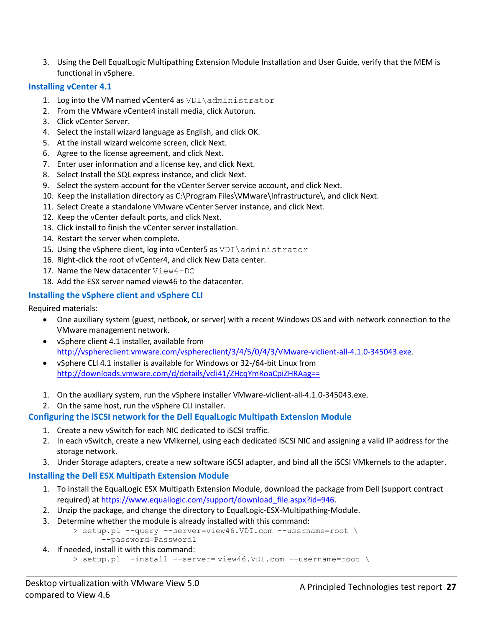3. Using the Dell EqualLogic Multipathing Extension Module Installation and User Guide, verify that the MEM is functional in vSphere.

#### **Installing vCenter 4.1**

- 1. Log into the VM named vCenter4 as VDI\administrator
- 2. From the VMware vCenter4 install media, click Autorun.
- 3. Click vCenter Server.
- 4. Select the install wizard language as English, and click OK.
- 5. At the install wizard welcome screen, click Next.
- 6. Agree to the license agreement, and click Next.
- 7. Enter user information and a license key, and click Next.
- 8. Select Install the SQL express instance, and click Next.
- 9. Select the system account for the vCenter Server service account, and click Next.
- 10. Keep the installation directory as C:\Program Files\VMware\Infrastructure\, and click Next.
- 11. Select Create a standalone VMware vCenter Server instance, and click Next.
- 12. Keep the vCenter default ports, and click Next.
- 13. Click install to finish the vCenter server installation.
- 14. Restart the server when complete.
- 15. Using the vSphere client, log into vCenter5 as VDI\administrator
- 16. Right-click the root of vCenter4, and click New Data center.
- 17. Name the New datacenter View4-DC
- 18. Add the ESX server named view46 to the datacenter.

#### **Installing the vSphere client and vSphere CLI**

Required materials:

- One auxiliary system (guest, netbook, or server) with a recent Windows OS and with network connection to the VMware management network.
- vSphere client 4.1 installer, available from [http://vsphereclient.vmware.com/vsphereclient/3/4/5/0/4/3/VMware-viclient-all-4.1.0-345043.exe.](http://vsphereclient.vmware.com/vsphereclient/3/4/5/0/4/3/VMware-viclient-all-4.1.0-345043.exe)
- vSphere CLI 4.1 installer is available for Windows or 32-/64-bit Linux from <http://downloads.vmware.com/d/details/vcli41/ZHcqYmRoaCpiZHRAag==>
- 1. On the auxiliary system, run the vSphere installer VMware-viclient-all-4.1.0-345043.exe.
- 2. On the same host, run the vSphere CLI installer.

#### **Configuring the iSCSI network for the Dell EqualLogic Multipath Extension Module**

- 1. Create a new vSwitch for each NIC dedicated to iSCSI traffic.
- 2. In each vSwitch, create a new VMkernel, using each dedicated iSCSI NIC and assigning a valid IP address for the storage network.
- 3. Under Storage adapters, create a new software iSCSI adapter, and bind all the iSCSI VMkernels to the adapter.

#### **Installing the Dell ESX Multipath Extension Module**

- 1. To install the EqualLogic ESX Multipath Extension Module, download the package from Dell (support contract required) a[t https://www.equallogic.com/support/download\\_file.aspx?id=946.](https://www.equallogic.com/support/download_file.aspx?id=946)
- 2. Unzip the package, and change the directory to EqualLogic-ESX-Multipathing-Module.
- 3. Determine whether the module is already installed with this command:
	- > setup.pl --query --server=view46.VDI.com --username=root \ --password=Password1
- 4. If needed, install it with this command:
	- > setup.pl –-install --server= view46.VDI.com --username=root \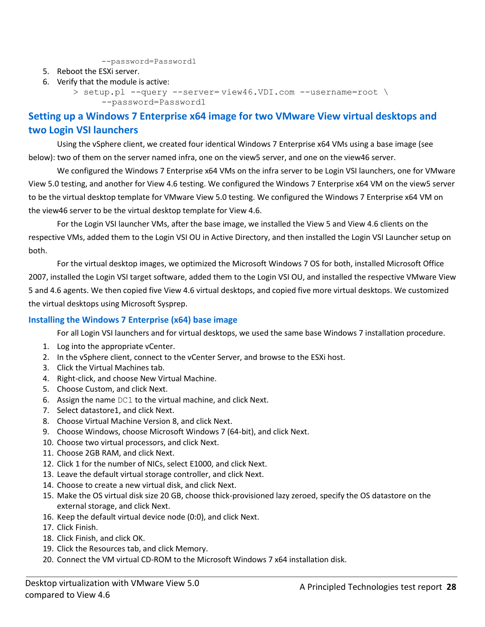--password=Password1

- 5. Reboot the ESXi server.
- 6. Verify that the module is active:

```
> setup.pl --query --server= view46.VDI.com --username=root \
     --password=Password1
```
# **Setting up a Windows 7 Enterprise x64 image for two VMware View virtual desktops and two Login VSI launchers**

Using the vSphere client, we created four identical Windows 7 Enterprise x64 VMs using a base image (see below): two of them on the server named infra, one on the view5 server, and one on the view46 server.

We configured the Windows 7 Enterprise x64 VMs on the infra server to be Login VSI launchers, one for VMware View 5.0 testing, and another for View 4.6 testing. We configured the Windows 7 Enterprise x64 VM on the view5 server to be the virtual desktop template for VMware View 5.0 testing. We configured the Windows 7 Enterprise x64 VM on the view46 server to be the virtual desktop template for View 4.6.

For the Login VSI launcher VMs, after the base image, we installed the View 5 and View 4.6 clients on the respective VMs, added them to the Login VSI OU in Active Directory, and then installed the Login VSI Launcher setup on both.

For the virtual desktop images, we optimized the Microsoft Windows 7 OS for both, installed Microsoft Office 2007, installed the Login VSI target software, added them to the Login VSI OU, and installed the respective VMware View 5 and 4.6 agents. We then copied five View 4.6 virtual desktops, and copied five more virtual desktops. We customized the virtual desktops using Microsoft Sysprep.

#### **Installing the Windows 7 Enterprise (x64) base image**

For all Login VSI launchers and for virtual desktops, we used the same base Windows 7 installation procedure.

- 1. Log into the appropriate vCenter.
- 2. In the vSphere client, connect to the vCenter Server, and browse to the ESXi host.
- 3. Click the Virtual Machines tab.
- 4. Right-click, and choose New Virtual Machine.
- 5. Choose Custom, and click Next.
- 6. Assign the name DC1 to the virtual machine, and click Next.
- 7. Select datastore1, and click Next.
- 8. Choose Virtual Machine Version 8, and click Next.
- 9. Choose Windows, choose Microsoft Windows 7 (64-bit), and click Next.
- 10. Choose two virtual processors, and click Next.
- 11. Choose 2GB RAM, and click Next.
- 12. Click 1 for the number of NICs, select E1000, and click Next.
- 13. Leave the default virtual storage controller, and click Next.
- 14. Choose to create a new virtual disk, and click Next.
- 15. Make the OS virtual disk size 20 GB, choose thick-provisioned lazy zeroed, specify the OS datastore on the external storage, and click Next.
- 16. Keep the default virtual device node (0:0), and click Next.
- 17. Click Finish.
- 18. Click Finish, and click OK.
- 19. Click the Resources tab, and click Memory.
- 20. Connect the VM virtual CD-ROM to the Microsoft Windows 7 x64 installation disk.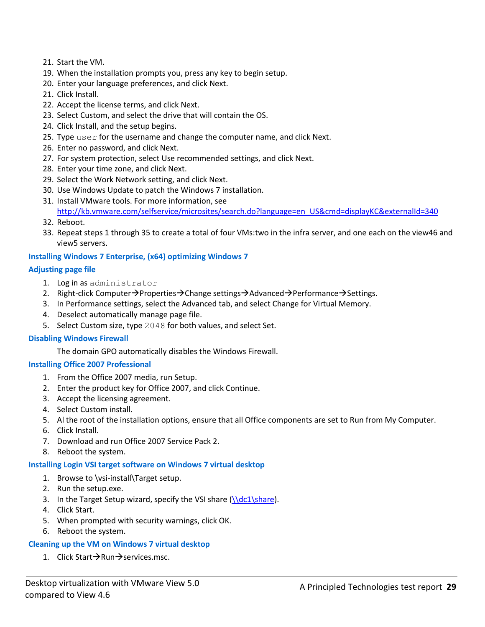- 21. Start the VM.
- 19. When the installation prompts you, press any key to begin setup.
- 20. Enter your language preferences, and click Next.
- 21. Click Install.
- 22. Accept the license terms, and click Next.
- 23. Select Custom, and select the drive that will contain the OS.
- 24. Click Install, and the setup begins.
- 25. Type user for the username and change the computer name, and click Next.
- 26. Enter no password, and click Next.
- 27. For system protection, select Use recommended settings, and click Next.
- 28. Enter your time zone, and click Next.
- 29. Select the Work Network setting, and click Next.
- 30. Use Windows Update to patch the Windows 7 installation.
- 31. Install VMware tools. For more information, see [http://kb.vmware.com/selfservice/microsites/search.do?language=en\\_US&cmd=displayKC&externalId=340](http://kb.vmware.com/selfservice/microsites/search.do?language=en_US&cmd=displayKC&externalId=340)
- 32. Reboot.
- 33. Repeat steps 1 through 35 to create a total of four VMs:two in the infra server, and one each on the view46 and view5 servers.

#### **Installing Windows 7 Enterprise, (x64) optimizing Windows 7**

#### **Adjusting page file**

- 1. Log in as administrator
- 2. Right-click Computer $\rightarrow$ Properties $\rightarrow$ Change settings $\rightarrow$ Advanced $\rightarrow$ Performance $\rightarrow$ Settings.
- 3. In Performance settings, select the Advanced tab, and select Change for Virtual Memory.
- 4. Deselect automatically manage page file.
- 5. Select Custom size, type 2048 for both values, and select Set.

#### **Disabling Windows Firewall**

The domain GPO automatically disables the Windows Firewall.

#### **Installing Office 2007 Professional**

- 1. From the Office 2007 media, run Setup.
- 2. Enter the product key for Office 2007, and click Continue.
- 3. Accept the licensing agreement.
- 4. Select Custom install.
- 5. Al the root of the installation options, ensure that all Office components are set to Run from My Computer.
- 6. Click Install.
- 7. Download and run Office 2007 Service Pack 2.
- 8. Reboot the system.

#### **Installing Login VSI target software on Windows 7 virtual desktop**

- 1. Browse to \vsi-install\Target setup.
- 2. Run the setup.exe.
- 3. In the Target Setup wizard, specify the VSI share  $(\delta_1\cdot\cdot\cdot)$ .
- 4. Click Start.
- 5. When prompted with security warnings, click OK.
- 6. Reboot the system.

#### **Cleaning up the VM on Windows 7 virtual desktop**

1. Click Start $\rightarrow$ Run $\rightarrow$ services.msc.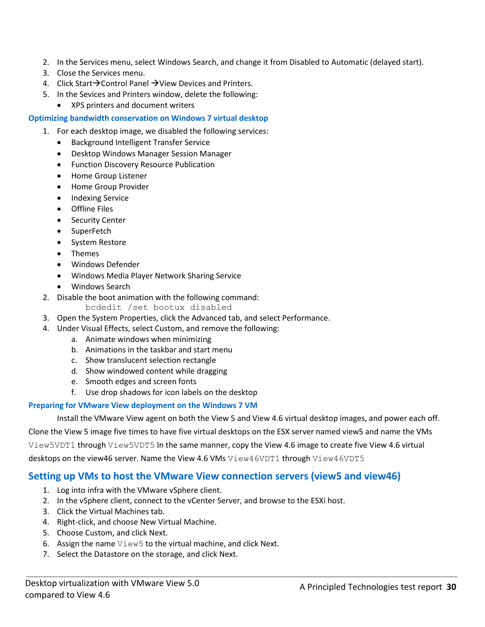- 2. In the Services menu, select Windows Search, and change it from Disabled to Automatic (delayed start).
- 3. Close the Services menu.
- 4. Click Start $\rightarrow$ Control Panel  $\rightarrow$  View Devices and Printers.
- 5. In the Sevices and Printers window, delete the following:
	- XPS printers and document writers

#### <span id="page-29-0"></span>**Optimizing bandwidth conservation on Windows 7 virtual desktop**

- 1. For each desktop image, we disabled the following services:
	- Background Intelligent Transfer Service
	- Desktop Windows Manager Session Manager
	- **•** Function Discovery Resource Publication
	- Home Group Listener
	- Home Group Provider
	- Indexing Service
	- Offline Files
	- **•** Security Center
	- SuperFetch
	- System Restore
	- Themes
	- Windows Defender
	- Windows Media Player Network Sharing Service
	- Windows Search
- 2. Disable the boot animation with the following command:

bcdedit /set bootux disabled

- 3. Open the System Properties, click the Advanced tab, and select Performance.
- 4. Under Visual Effects, select Custom, and remove the following:
	- a. Animate windows when minimizing
	- b. Animations in the taskbar and start menu
	- c. Show translucent selection rectangle
	- d. Show windowed content while dragging
	- e. Smooth edges and screen fonts
	- f. Use drop shadows for icon labels on the desktop

#### **Preparing for VMware View deployment on the Windows 7 VM**

Install the VMware View agent on both the View 5 and View 4.6 virtual desktop images, and power each off.

Clone the View 5 image five times to have five virtual desktops on the ESX server named view5 and name the VMs

View5VDT1 through View5VDT5 In the same manner, copy the View 4.6 image to create five View 4.6 virtual

desktops on the view46 server. Name the View 4.6 VMs View46VDT1 through View46VDT5

### **Setting up VMs to host the VMware View connection servers (view5 and view46)**

- 1. Log into infra with the VMware vSphere client.
- 2. In the vSphere client, connect to the vCenter Server, and browse to the ESXi host.
- 3. Click the Virtual Machines tab.
- 4. Right-click, and choose New Virtual Machine.
- 5. Choose Custom, and click Next.
- 6. Assign the name View5 to the virtual machine, and click Next.
- 7. Select the Datastore on the storage, and click Next.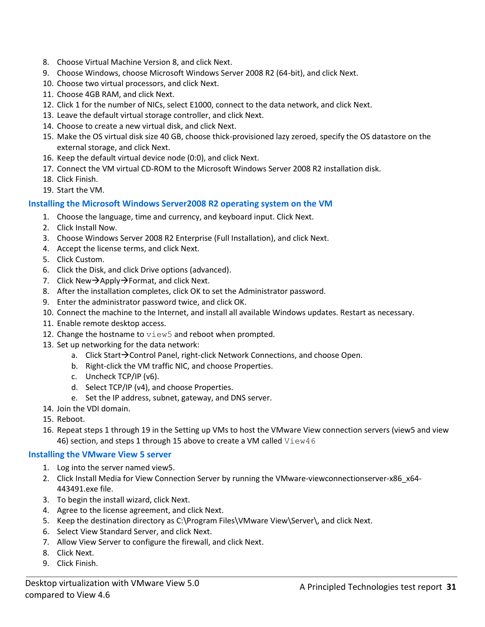- 8. Choose Virtual Machine Version 8, and click Next.
- 9. Choose Windows, choose Microsoft Windows Server 2008 R2 (64-bit), and click Next.
- 10. Choose two virtual processors, and click Next.
- 11. Choose 4GB RAM, and click Next.
- 12. Click 1 for the number of NICs, select E1000, connect to the data network, and click Next.
- 13. Leave the default virtual storage controller, and click Next.
- 14. Choose to create a new virtual disk, and click Next.
- 15. Make the OS virtual disk size 40 GB, choose thick-provisioned lazy zeroed, specify the OS datastore on the external storage, and click Next.
- 16. Keep the default virtual device node (0:0), and click Next.
- 17. Connect the VM virtual CD-ROM to the Microsoft Windows Server 2008 R2 installation disk.
- 18. Click Finish.
- 19. Start the VM.

#### **Installing the Microsoft Windows Server2008 R2 operating system on the VM**

- 1. Choose the language, time and currency, and keyboard input. Click Next.
- 2. Click Install Now.
- 3. Choose Windows Server 2008 R2 Enterprise (Full Installation), and click Next.
- 4. Accept the license terms, and click Next.
- 5. Click Custom.
- 6. Click the Disk, and click Drive options (advanced).
- 7. Click New $\rightarrow$ Apply $\rightarrow$ Format, and click Next.
- 8. After the installation completes, click OK to set the Administrator password.
- 9. Enter the administrator password twice, and click OK.
- 10. Connect the machine to the Internet, and install all available Windows updates. Restart as necessary.
- 11. Enable remote desktop access.
- 12. Change the hostname to  $\text{view}5$  and reboot when prompted.
- 13. Set up networking for the data network:
	- a. Click Start $\rightarrow$ Control Panel, right-click Network Connections, and choose Open.
	- b. Right-click the VM traffic NIC, and choose Properties.
	- c. Uncheck TCP/IP (v6).
	- d. Select TCP/IP (v4), and choose Properties.
	- e. Set the IP address, subnet, gateway, and DNS server.
- 14. Join the VDI domain.
- 15. Reboot.
- 16. Repeat steps 1 through 19 in the Setting up VMs to host the VMware View connection servers (view5 and view 46) section, and steps 1 through 15 above to create a VM called  $V$ iew46

#### **Installing the VMware View 5 server**

- 1. Log into the server named view5.
- 2. Click Install Media for View Connection Server by running the VMware-viewconnectionserver-x86 x64-443491.exe file.
- 3. To begin the install wizard, click Next.
- 4. Agree to the license agreement, and click Next.
- 5. Keep the destination directory as C:\Program Files\VMware View\Server\, and click Next.
- 6. Select View Standard Server, and click Next.
- 7. Allow View Server to configure the firewall, and click Next.
- 8. Click Next.
- 9. Click Finish.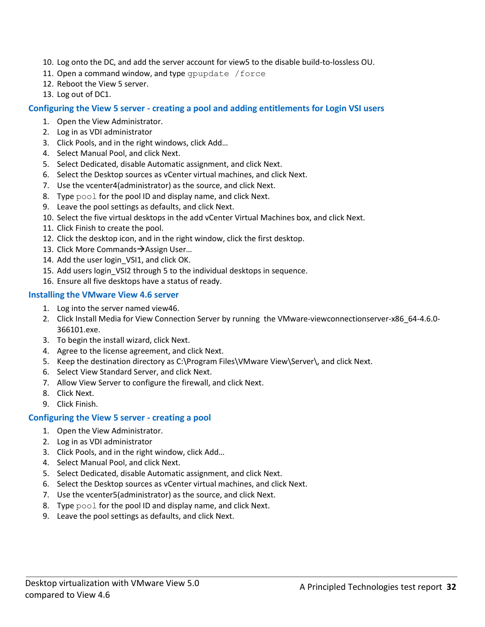- 10. Log onto the DC, and add the server account for view5 to the disable build-to-lossless OU.
- 11. Open a command window, and type gpupdate / force
- 12. Reboot the View 5 server.
- 13. Log out of DC1.

#### **Configuring the View 5 server - creating a pool and adding entitlements for Login VSI users**

- 1. Open the View Administrator.
- 2. Log in as VDI administrator
- 3. Click Pools, and in the right windows, click Add…
- 4. Select Manual Pool, and click Next.
- 5. Select Dedicated, disable Automatic assignment, and click Next.
- 6. Select the Desktop sources as vCenter virtual machines, and click Next.
- 7. Use the vcenter4(administrator) as the source, and click Next.
- 8. Type pool for the pool ID and display name, and click Next.
- 9. Leave the pool settings as defaults, and click Next.
- 10. Select the five virtual desktops in the add vCenter Virtual Machines box, and click Next.
- 11. Click Finish to create the pool.
- 12. Click the desktop icon, and in the right window, click the first desktop.
- 13. Click More Commands $\rightarrow$ Assign User...
- 14. Add the user login\_VSI1, and click OK.
- 15. Add users login\_VSI2 through 5 to the individual desktops in sequence.
- 16. Ensure all five desktops have a status of ready.

#### **Installing the VMware View 4.6 server**

- 1. Log into the server named view46.
- 2. Click Install Media for View Connection Server by running the VMware-viewconnectionserver-x86\_64-4.6.0- 366101.exe.
- 3. To begin the install wizard, click Next.
- 4. Agree to the license agreement, and click Next.
- 5. Keep the destination directory as C:\Program Files\VMware View\Server\, and click Next.
- 6. Select View Standard Server, and click Next.
- 7. Allow View Server to configure the firewall, and click Next.
- 8. Click Next.
- 9. Click Finish.

#### **Configuring the View 5 server - creating a pool**

- 1. Open the View Administrator.
- 2. Log in as VDI administrator
- 3. Click Pools, and in the right window, click Add…
- 4. Select Manual Pool, and click Next.
- 5. Select Dedicated, disable Automatic assignment, and click Next.
- 6. Select the Desktop sources as vCenter virtual machines, and click Next.
- 7. Use the vcenter5(administrator) as the source, and click Next.
- 8. Type pool for the pool ID and display name, and click Next.
- 9. Leave the pool settings as defaults, and click Next.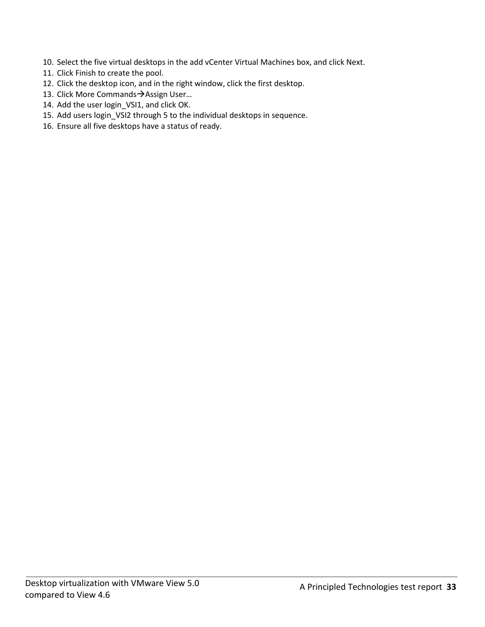- 10. Select the five virtual desktops in the add vCenter Virtual Machines box, and click Next.
- 11. Click Finish to create the pool.
- 12. Click the desktop icon, and in the right window, click the first desktop.
- 13. Click More Commands > Assign User...
- 14. Add the user login\_VSI1, and click OK.
- 15. Add users login\_VSI2 through 5 to the individual desktops in sequence.
- 16. Ensure all five desktops have a status of ready.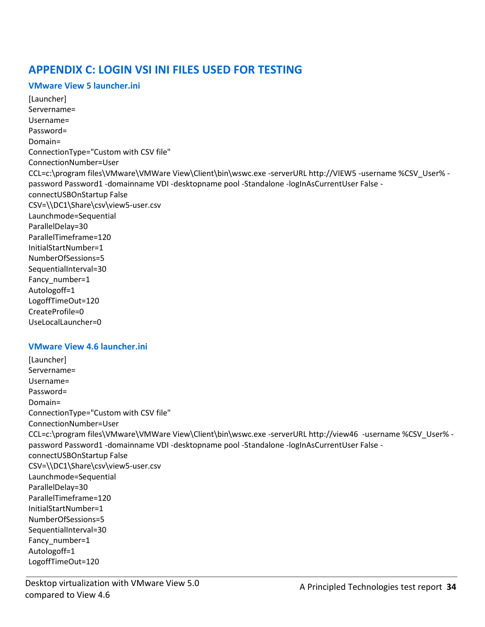# <span id="page-33-0"></span>**APPENDIX C: LOGIN VSI INI FILES USED FOR TESTING**

#### **VMware View 5 launcher.ini**

[Launcher] Servername= Username= Password= Domain= ConnectionType="Custom with CSV file" ConnectionNumber=User CCL=c:\program files\VMware\VMWare View\Client\bin\wswc.exe -serverURL http://VIEW5 -username %CSV\_User% password Password1 -domainname VDI -desktopname pool -Standalone -logInAsCurrentUser False connectUSBOnStartup False CSV=\\DC1\Share\csv\view5-user.csv Launchmode=Sequential ParallelDelay=30 ParallelTimeframe=120 InitialStartNumber=1 NumberOfSessions=5 SequentialInterval=30 Fancy number=1 Autologoff=1 LogoffTimeOut=120 CreateProfile=0 UseLocalLauncher=0

#### **VMware View 4.6 launcher.ini**

[Launcher] Servername= Username= Password= Domain= ConnectionType="Custom with CSV file" ConnectionNumber=User CCL=c:\program files\VMware\VMWare View\Client\bin\wswc.exe -serverURL http://view46 -username %CSV\_User% password Password1 -domainname VDI -desktopname pool -Standalone -logInAsCurrentUser False connectUSBOnStartup False CSV=\\DC1\Share\csv\view5-user.csv Launchmode=Sequential ParallelDelay=30 ParallelTimeframe=120 InitialStartNumber=1 NumberOfSessions=5 SequentialInterval=30 Fancy number=1 Autologoff=1 LogoffTimeOut=120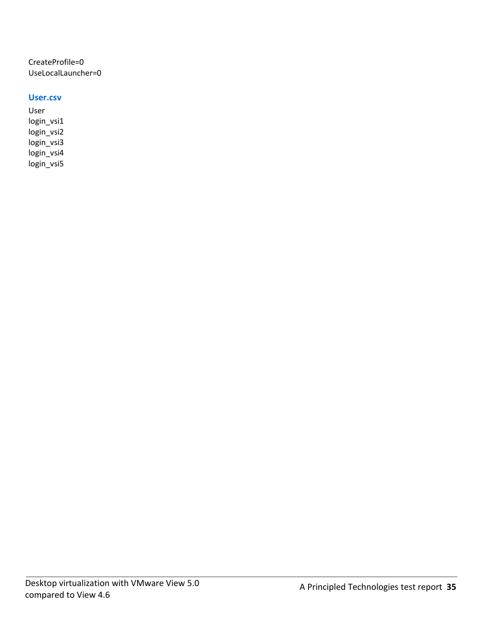CreateProfile=0 UseLocalLauncher=0

#### **User.csv**

User login\_vsi1 login\_vsi2 login\_vsi3 login\_vsi4 login\_vsi5